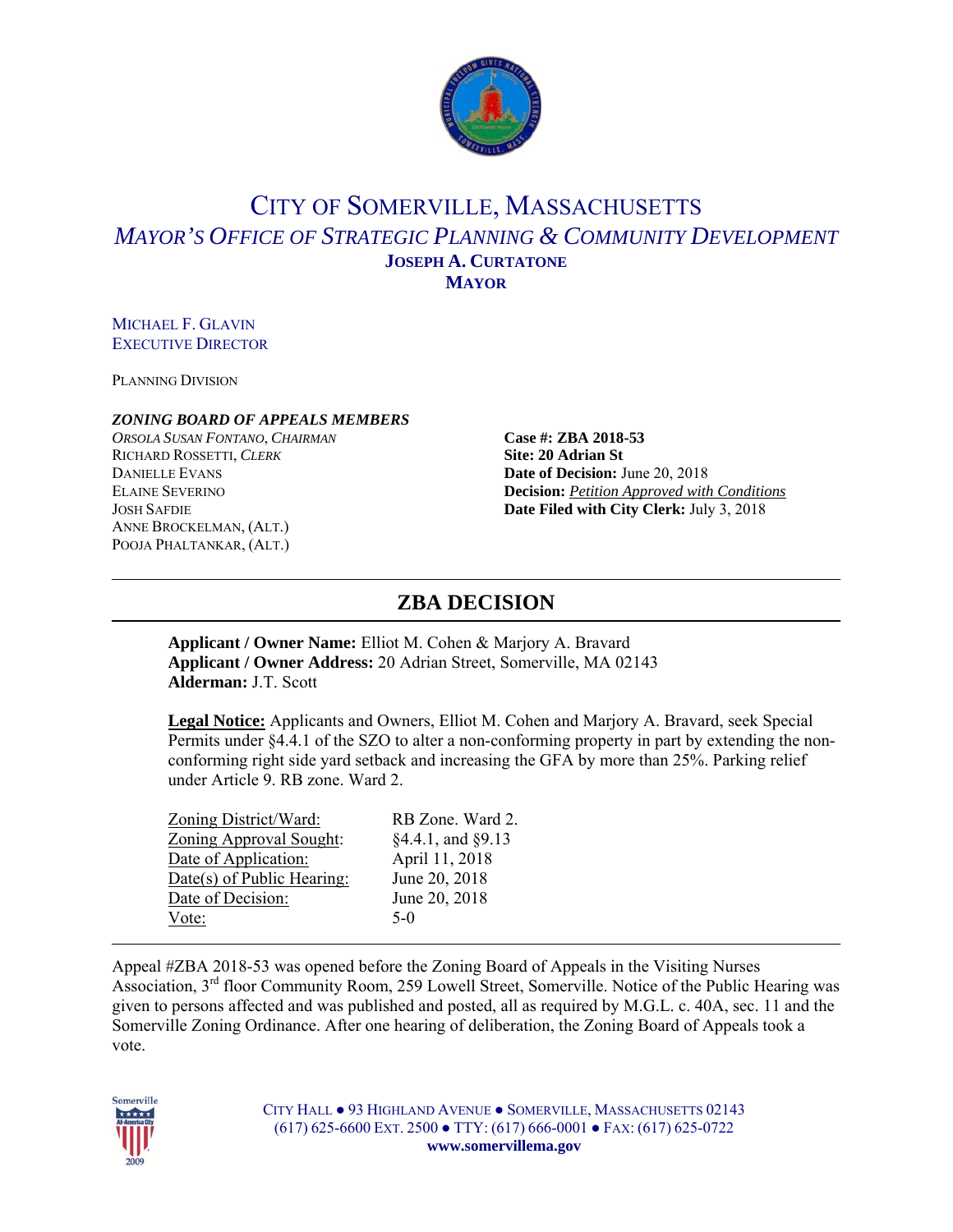

# CITY OF SOMERVILLE, MASSACHUSETTS *MAYOR'S OFFICE OF STRATEGIC PLANNING & COMMUNITY DEVELOPMENT* **JOSEPH A. CURTATONE MAYOR**

MICHAEL F. GLAVIN EXECUTIVE DIRECTOR

PLANNING DIVISION

#### *ZONING BOARD OF APPEALS MEMBERS*

*ORSOLA SUSAN FONTANO*, *CHAIRMAN* **Case #: ZBA 2018-53** RICHARD ROSSETTI, *CLERK* **Site: 20 Adrian St** DANIELLE EVANS **Date of Decision:** June 20, 2018 ANNE BROCKELMAN, (ALT.) POOJA PHALTANKAR, (ALT.)

ELAINE SEVERINO **Decision:** *Petition Approved with Conditions* JOSH SAFDIE **Date Filed with City Clerk:** July 3, 2018

## **ZBA DECISION**

**Applicant / Owner Name:** Elliot M. Cohen & Marjory A. Bravard **Applicant / Owner Address:** 20 Adrian Street, Somerville, MA 02143 **Alderman:** J.T. Scott

**Legal Notice:** Applicants and Owners, Elliot M. Cohen and Marjory A. Bravard, seek Special Permits under §4.4.1 of the SZO to alter a non-conforming property in part by extending the nonconforming right side yard setback and increasing the GFA by more than 25%. Parking relief under Article 9. RB zone. Ward 2.

| Zoning District/Ward:          | RB Zone. Ward 2.       |
|--------------------------------|------------------------|
| <b>Zoning Approval Sought:</b> | $§4.4.1$ , and $§9.13$ |
| Date of Application:           | April 11, 2018         |
| Date(s) of Public Hearing:     | June 20, 2018          |
| Date of Decision:              | June 20, 2018          |
| Vote:                          | $5-0$                  |

Appeal #ZBA 2018-53 was opened before the Zoning Board of Appeals in the Visiting Nurses Association, 3<sup>rd</sup> floor Community Room, 259 Lowell Street, Somerville. Notice of the Public Hearing was given to persons affected and was published and posted, all as required by M.G.L. c. 40A, sec. 11 and the Somerville Zoning Ordinance. After one hearing of deliberation, the Zoning Board of Appeals took a vote.



CITY HALL ● 93 HIGHLAND AVENUE ● SOMERVILLE, MASSACHUSETTS 02143 (617) 625-6600 EXT. 2500 ● TTY: (617) 666-0001 ● FAX: (617) 625-0722 **www.somervillema.gov**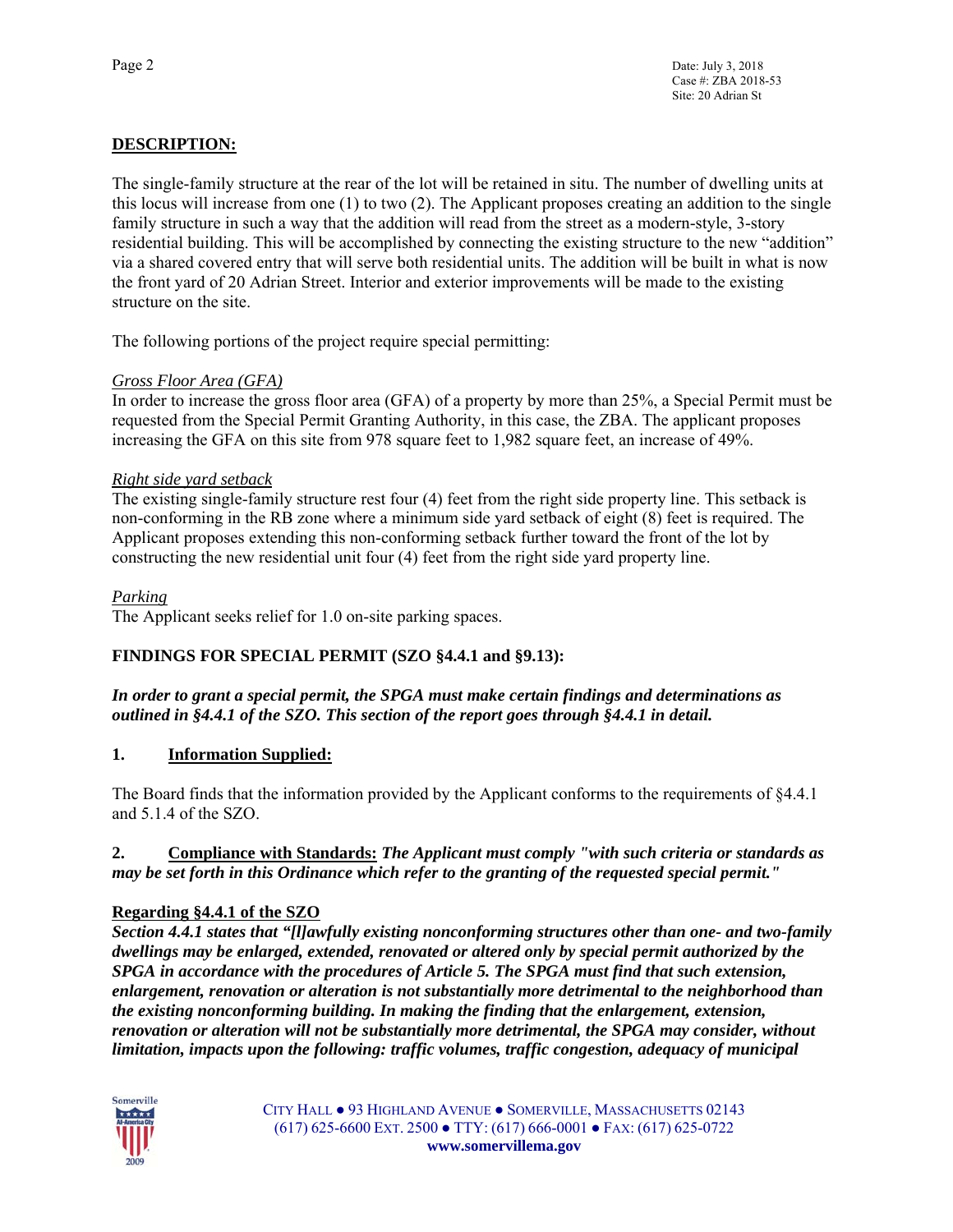## **DESCRIPTION:**

The single-family structure at the rear of the lot will be retained in situ. The number of dwelling units at this locus will increase from one (1) to two (2). The Applicant proposes creating an addition to the single family structure in such a way that the addition will read from the street as a modern-style, 3-story residential building. This will be accomplished by connecting the existing structure to the new "addition" via a shared covered entry that will serve both residential units. The addition will be built in what is now the front yard of 20 Adrian Street. Interior and exterior improvements will be made to the existing structure on the site.

The following portions of the project require special permitting:

## *Gross Floor Area (GFA)*

In order to increase the gross floor area (GFA) of a property by more than 25%, a Special Permit must be requested from the Special Permit Granting Authority, in this case, the ZBA. The applicant proposes increasing the GFA on this site from 978 square feet to 1,982 square feet, an increase of 49%.

## *Right side yard setback*

The existing single-family structure rest four (4) feet from the right side property line. This setback is non-conforming in the RB zone where a minimum side yard setback of eight (8) feet is required. The Applicant proposes extending this non-conforming setback further toward the front of the lot by constructing the new residential unit four (4) feet from the right side yard property line.

## *Parking*

The Applicant seeks relief for 1.0 on-site parking spaces.

## **FINDINGS FOR SPECIAL PERMIT (SZO §4.4.1 and §9.13):**

*In order to grant a special permit, the SPGA must make certain findings and determinations as outlined in §4.4.1 of the SZO. This section of the report goes through §4.4.1 in detail.* 

## **1. Information Supplied:**

The Board finds that the information provided by the Applicant conforms to the requirements of §4.4.1 and 5.1.4 of the SZO.

## **2. Compliance with Standards:** *The Applicant must comply "with such criteria or standards as may be set forth in this Ordinance which refer to the granting of the requested special permit."*

## **Regarding §4.4.1 of the SZO**

*Section 4.4.1 states that "[l]awfully existing nonconforming structures other than one- and two-family dwellings may be enlarged, extended, renovated or altered only by special permit authorized by the SPGA in accordance with the procedures of Article 5. The SPGA must find that such extension, enlargement, renovation or alteration is not substantially more detrimental to the neighborhood than the existing nonconforming building. In making the finding that the enlargement, extension, renovation or alteration will not be substantially more detrimental, the SPGA may consider, without limitation, impacts upon the following: traffic volumes, traffic congestion, adequacy of municipal* 

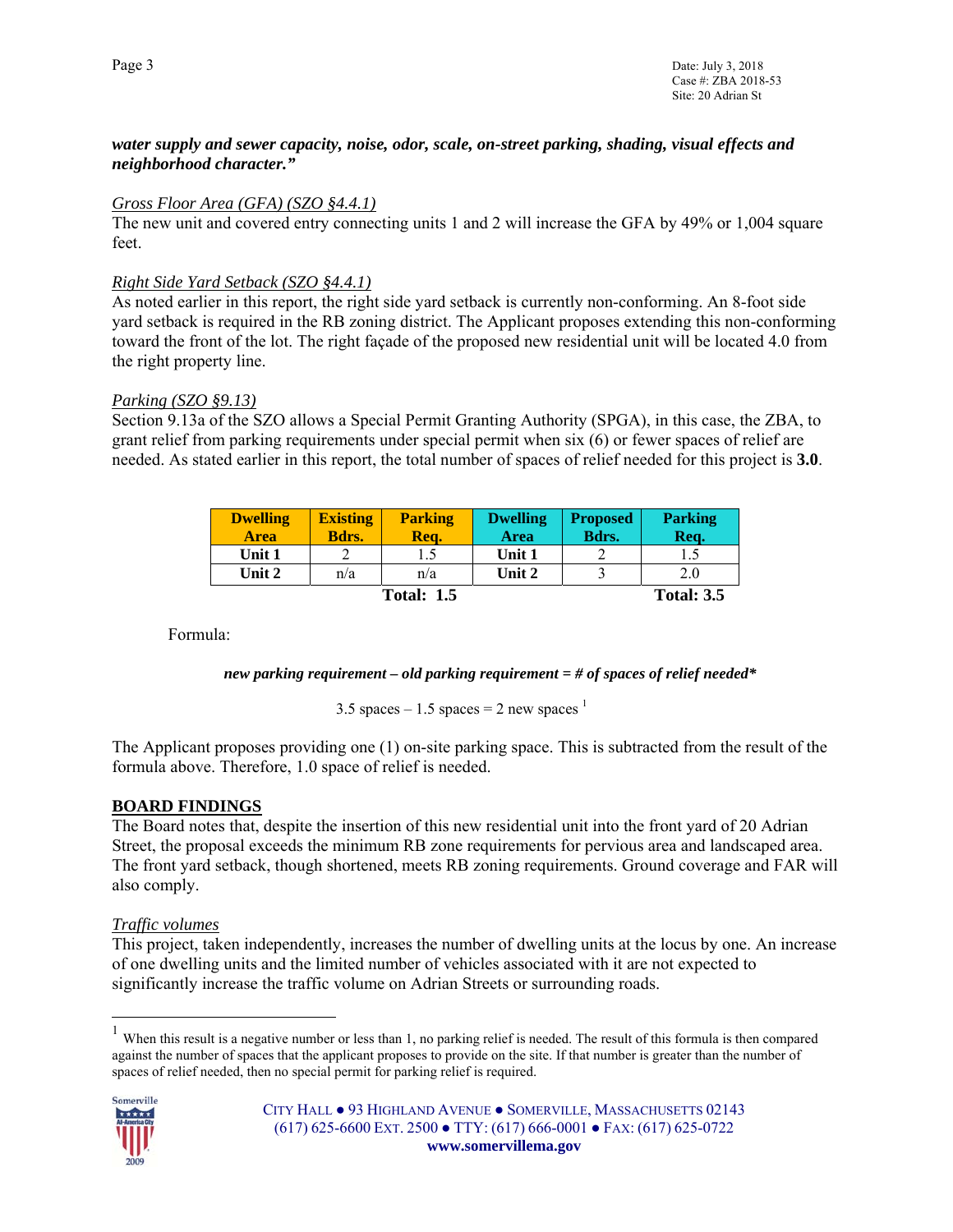## *water supply and sewer capacity, noise, odor, scale, on-street parking, shading, visual effects and neighborhood character."*

#### *Gross Floor Area (GFA) (SZO §4.4.1)*

The new unit and covered entry connecting units 1 and 2 will increase the GFA by 49% or 1,004 square feet.

## *Right Side Yard Setback (SZO §4.4.1)*

As noted earlier in this report, the right side yard setback is currently non-conforming. An 8-foot side yard setback is required in the RB zoning district. The Applicant proposes extending this non-conforming toward the front of the lot. The right façade of the proposed new residential unit will be located 4.0 from the right property line.

## *Parking (SZO §9.13)*

Section 9.13a of the SZO allows a Special Permit Granting Authority (SPGA), in this case, the ZBA, to grant relief from parking requirements under special permit when six (6) or fewer spaces of relief are needed. As stated earlier in this report, the total number of spaces of relief needed for this project is **3.0**.

| <b>Dwelling</b><br><b>Area</b> | <b>Existing</b><br>Bdrs. | <b>Parking</b><br>Rea. | <b>Dwelling</b><br>Area | <b>Proposed</b><br>Bdrs. | <b>Parking</b><br>Req. |
|--------------------------------|--------------------------|------------------------|-------------------------|--------------------------|------------------------|
| Unit 1                         |                          |                        | Unit 1                  |                          |                        |
| Unit 2                         | n/a                      | n/a                    | Unit 2                  |                          | 2.0                    |
|                                |                          | <b>Total: 1.5</b>      |                         |                          | <b>Total: 3.5</b>      |

Formula:

*new parking requirement – old parking requirement = # of spaces of relief needed\** 

3.5 spaces – 1.5 spaces = 2 new spaces  $^{-1}$ 

The Applicant proposes providing one (1) on-site parking space. This is subtracted from the result of the formula above. Therefore, 1.0 space of relief is needed.

## **BOARD FINDINGS**

The Board notes that, despite the insertion of this new residential unit into the front yard of 20 Adrian Street, the proposal exceeds the minimum RB zone requirements for pervious area and landscaped area. The front yard setback, though shortened, meets RB zoning requirements. Ground coverage and FAR will also comply.

## *Traffic volumes*

This project, taken independently, increases the number of dwelling units at the locus by one. An increase of one dwelling units and the limited number of vehicles associated with it are not expected to significantly increase the traffic volume on Adrian Streets or surrounding roads.

 $<sup>1</sup>$  When this result is a negative number or less than 1, no parking relief is needed. The result of this formula is then compared</sup> against the number of spaces that the applicant proposes to provide on the site. If that number is greater than the number of spaces of relief needed, then no special permit for parking relief is required.



 $\overline{a}$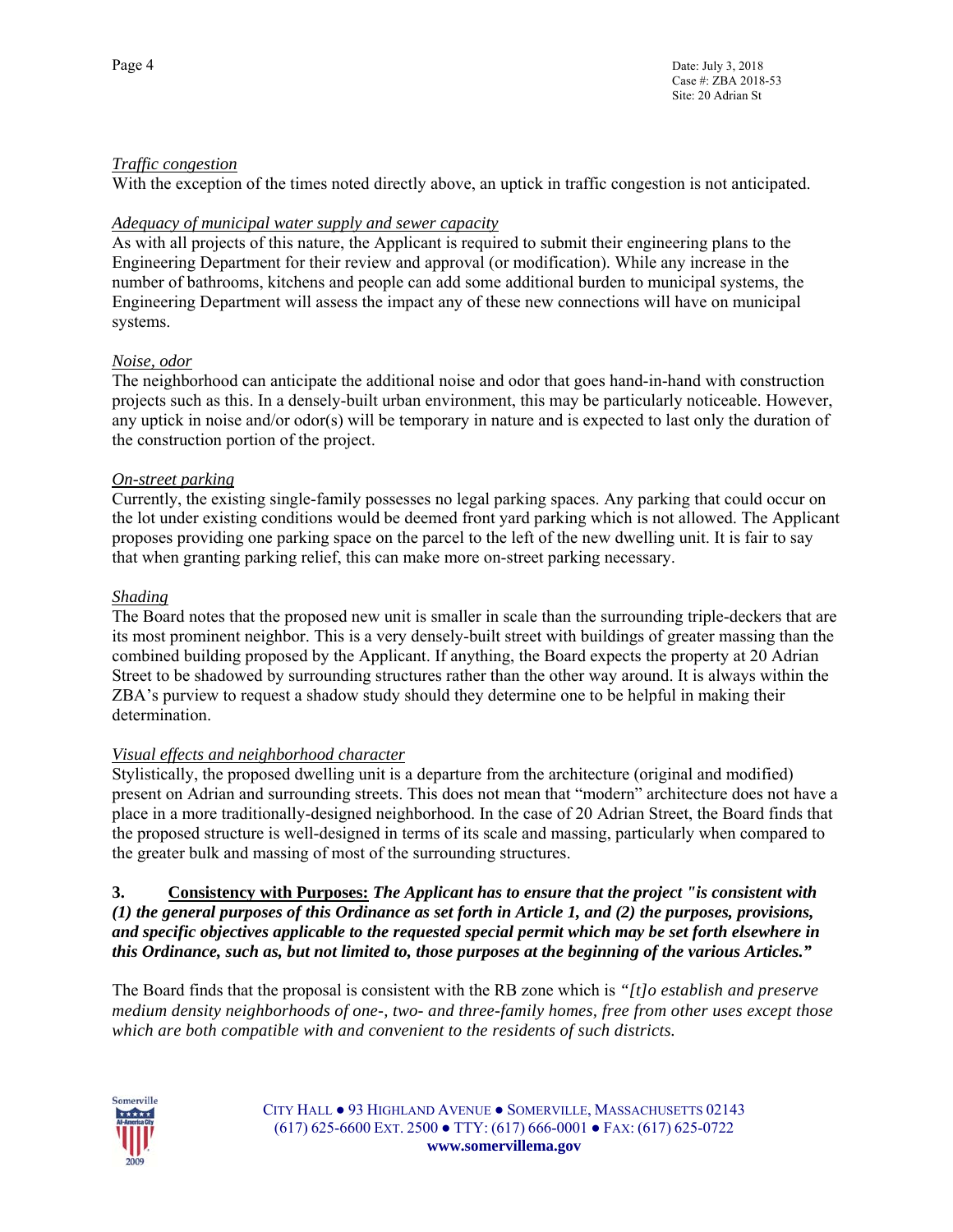## *Traffic congestion*

With the exception of the times noted directly above, an uptick in traffic congestion is not anticipated.

## *Adequacy of municipal water supply and sewer capacity*

As with all projects of this nature, the Applicant is required to submit their engineering plans to the Engineering Department for their review and approval (or modification). While any increase in the number of bathrooms, kitchens and people can add some additional burden to municipal systems, the Engineering Department will assess the impact any of these new connections will have on municipal systems.

## *Noise, odor*

The neighborhood can anticipate the additional noise and odor that goes hand-in-hand with construction projects such as this. In a densely-built urban environment, this may be particularly noticeable. However, any uptick in noise and/or odor(s) will be temporary in nature and is expected to last only the duration of the construction portion of the project.

## *On-street parking*

Currently, the existing single-family possesses no legal parking spaces. Any parking that could occur on the lot under existing conditions would be deemed front yard parking which is not allowed. The Applicant proposes providing one parking space on the parcel to the left of the new dwelling unit. It is fair to say that when granting parking relief, this can make more on-street parking necessary.

## *Shading*

The Board notes that the proposed new unit is smaller in scale than the surrounding triple-deckers that are its most prominent neighbor. This is a very densely-built street with buildings of greater massing than the combined building proposed by the Applicant. If anything, the Board expects the property at 20 Adrian Street to be shadowed by surrounding structures rather than the other way around. It is always within the ZBA's purview to request a shadow study should they determine one to be helpful in making their determination.

#### *Visual effects and neighborhood character*

Stylistically, the proposed dwelling unit is a departure from the architecture (original and modified) present on Adrian and surrounding streets. This does not mean that "modern" architecture does not have a place in a more traditionally-designed neighborhood. In the case of 20 Adrian Street, the Board finds that the proposed structure is well-designed in terms of its scale and massing, particularly when compared to the greater bulk and massing of most of the surrounding structures.

#### **3. Consistency with Purposes:** *The Applicant has to ensure that the project "is consistent with (1) the general purposes of this Ordinance as set forth in Article 1, and (2) the purposes, provisions, and specific objectives applicable to the requested special permit which may be set forth elsewhere in this Ordinance, such as, but not limited to, those purposes at the beginning of the various Articles."*

The Board finds that the proposal is consistent with the RB zone which is *"[t]o establish and preserve medium density neighborhoods of one-, two- and three-family homes, free from other uses except those which are both compatible with and convenient to the residents of such districts.*



CITY HALL ● 93 HIGHLAND AVENUE ● SOMERVILLE, MASSACHUSETTS 02143 (617) 625-6600 EXT. 2500 ● TTY: (617) 666-0001 ● FAX: (617) 625-0722 **www.somervillema.gov**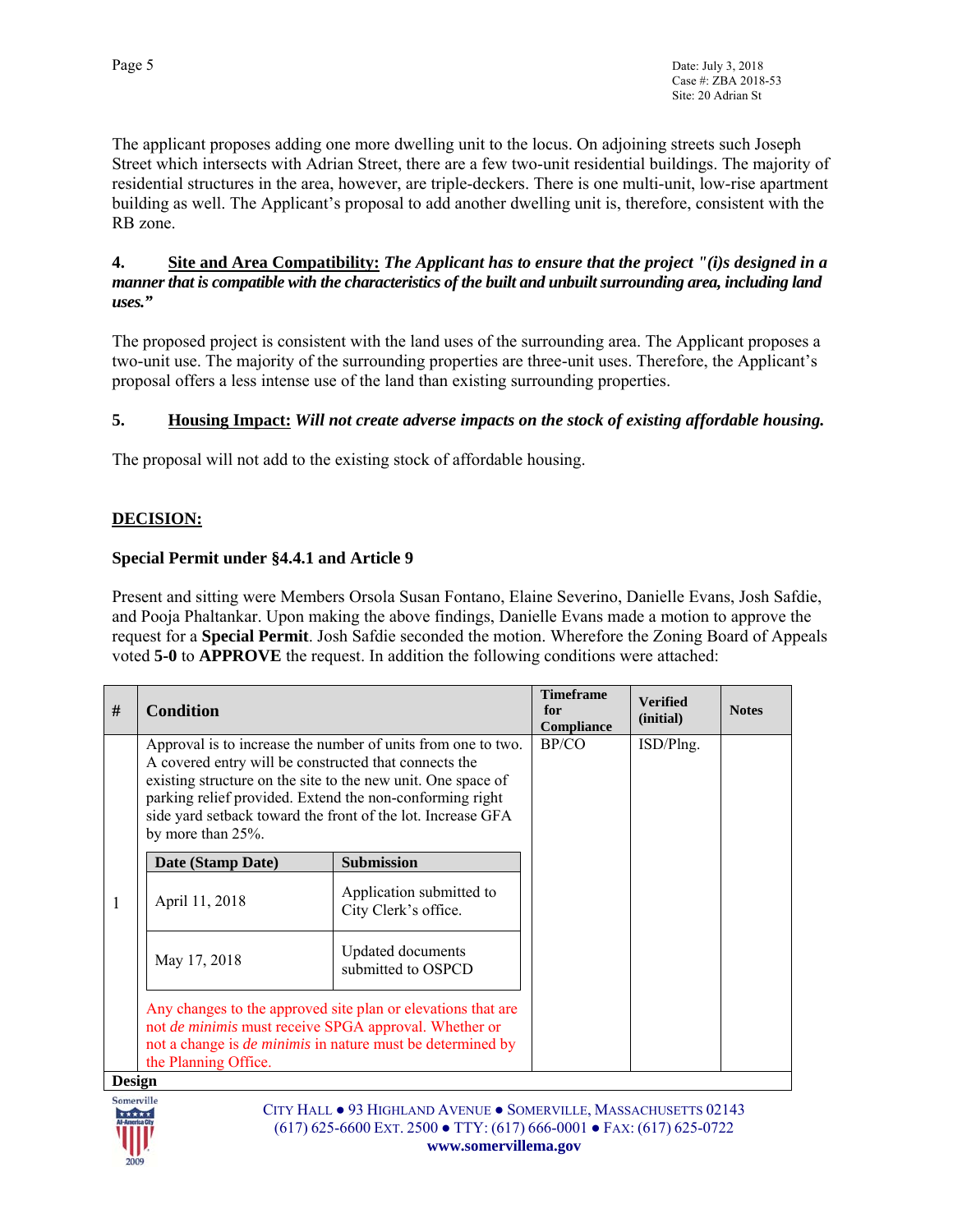The applicant proposes adding one more dwelling unit to the locus. On adjoining streets such Joseph Street which intersects with Adrian Street, there are a few two-unit residential buildings. The majority of residential structures in the area, however, are triple-deckers. There is one multi-unit, low-rise apartment building as well. The Applicant's proposal to add another dwelling unit is, therefore, consistent with the RB zone.

#### **4. Site and Area Compatibility:** *The Applicant has to ensure that the project "(i)s designed in a manner that is compatible with the characteristics of the built and unbuilt surrounding area, including land uses."*

The proposed project is consistent with the land uses of the surrounding area. The Applicant proposes a two-unit use. The majority of the surrounding properties are three-unit uses. Therefore, the Applicant's proposal offers a less intense use of the land than existing surrounding properties.

## **5. Housing Impact:** *Will not create adverse impacts on the stock of existing affordable housing.*

The proposal will not add to the existing stock of affordable housing.

## **DECISION:**

## **Special Permit under §4.4.1 and Article 9**

Present and sitting were Members Orsola Susan Fontano, Elaine Severino, Danielle Evans, Josh Safdie, and Pooja Phaltankar. Upon making the above findings, Danielle Evans made a motion to approve the request for a **Special Permit**. Josh Safdie seconded the motion. Wherefore the Zoning Board of Appeals voted **5-0** to **APPROVE** the request. In addition the following conditions were attached:

| #             | <b>Condition</b>                                                                                                                                                                                                                                                                                                                      |                                                  | <b>Timeframe</b><br>for<br>Compliance | <b>Verified</b><br>(initial) | <b>Notes</b> |
|---------------|---------------------------------------------------------------------------------------------------------------------------------------------------------------------------------------------------------------------------------------------------------------------------------------------------------------------------------------|--------------------------------------------------|---------------------------------------|------------------------------|--------------|
|               | Approval is to increase the number of units from one to two.<br>A covered entry will be constructed that connects the<br>existing structure on the site to the new unit. One space of<br>parking relief provided. Extend the non-conforming right<br>side yard setback toward the front of the lot. Increase GFA<br>by more than 25%. | BP/CO                                            | ISD/Plng.                             |                              |              |
|               | Date (Stamp Date)                                                                                                                                                                                                                                                                                                                     | <b>Submission</b>                                |                                       |                              |              |
| 1             | April 11, 2018                                                                                                                                                                                                                                                                                                                        | Application submitted to<br>City Clerk's office. |                                       |                              |              |
|               | May 17, 2018                                                                                                                                                                                                                                                                                                                          | Updated documents<br>submitted to OSPCD          |                                       |                              |              |
|               | Any changes to the approved site plan or elevations that are<br>not de minimis must receive SPGA approval. Whether or<br>not a change is <i>de minimis</i> in nature must be determined by<br>the Planning Office.                                                                                                                    |                                                  |                                       |                              |              |
| <b>Design</b> |                                                                                                                                                                                                                                                                                                                                       |                                                  |                                       |                              |              |

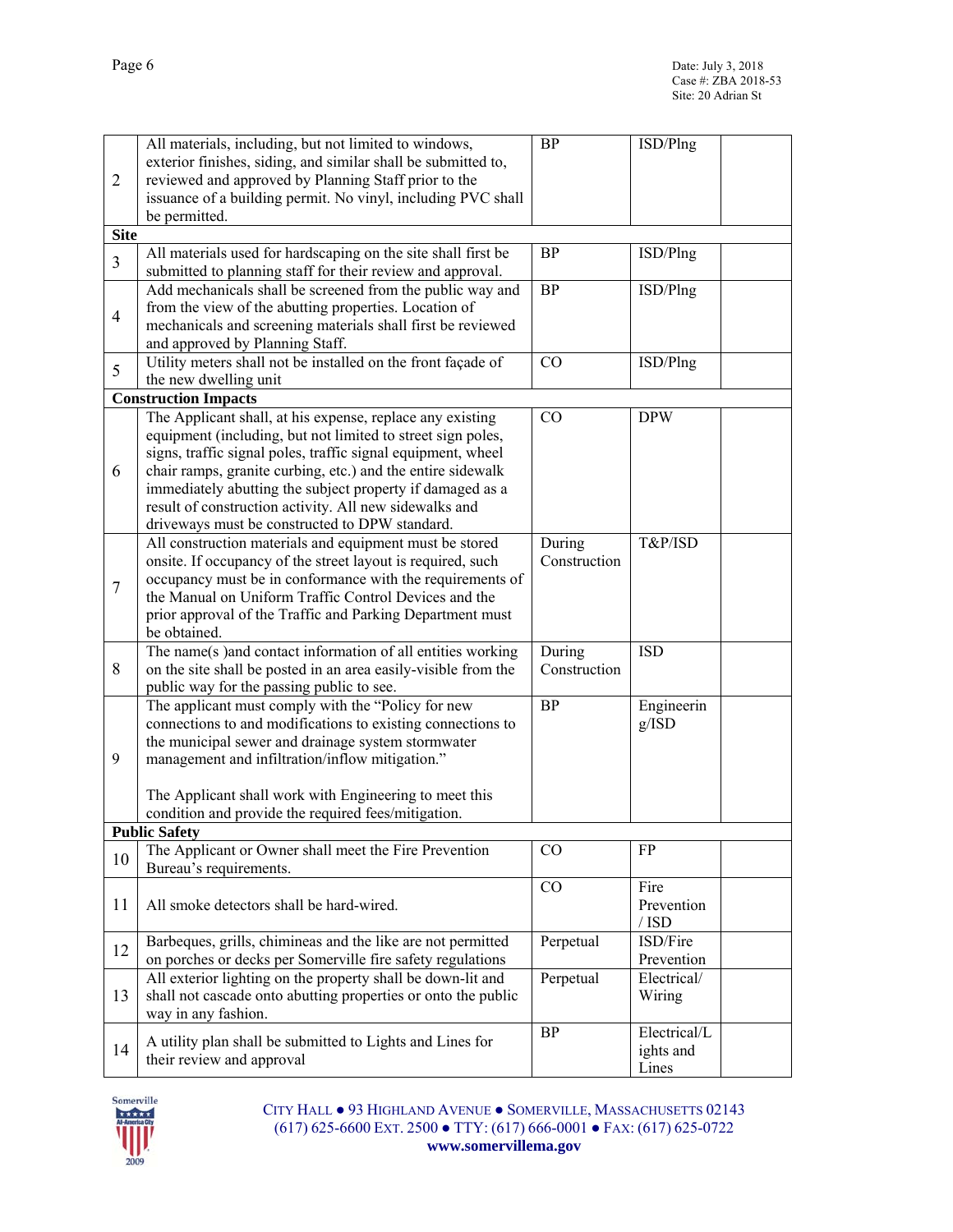|                | All materials, including, but not limited to windows,                                                       | <b>BP</b>              | ISD/Plng     |  |
|----------------|-------------------------------------------------------------------------------------------------------------|------------------------|--------------|--|
|                | exterior finishes, siding, and similar shall be submitted to,                                               |                        |              |  |
| $\overline{2}$ | reviewed and approved by Planning Staff prior to the                                                        |                        |              |  |
|                | issuance of a building permit. No vinyl, including PVC shall                                                |                        |              |  |
|                | be permitted.                                                                                               |                        |              |  |
| <b>Site</b>    |                                                                                                             |                        |              |  |
| $\overline{3}$ | All materials used for hardscaping on the site shall first be                                               | <b>BP</b>              | ISD/Plng     |  |
|                | submitted to planning staff for their review and approval.                                                  |                        |              |  |
|                | Add mechanicals shall be screened from the public way and                                                   | <b>BP</b>              | ISD/Plng     |  |
| $\overline{4}$ | from the view of the abutting properties. Location of                                                       |                        |              |  |
|                | mechanicals and screening materials shall first be reviewed                                                 |                        |              |  |
|                | and approved by Planning Staff.                                                                             |                        |              |  |
| 5              | Utility meters shall not be installed on the front façade of                                                | CO                     | ISD/Plng     |  |
|                | the new dwelling unit                                                                                       |                        |              |  |
|                | <b>Construction Impacts</b>                                                                                 |                        |              |  |
|                | The Applicant shall, at his expense, replace any existing                                                   | CO                     | <b>DPW</b>   |  |
|                | equipment (including, but not limited to street sign poles,                                                 |                        |              |  |
|                | signs, traffic signal poles, traffic signal equipment, wheel                                                |                        |              |  |
| 6              | chair ramps, granite curbing, etc.) and the entire sidewalk                                                 |                        |              |  |
|                | immediately abutting the subject property if damaged as a                                                   |                        |              |  |
|                | result of construction activity. All new sidewalks and                                                      |                        |              |  |
|                | driveways must be constructed to DPW standard.                                                              |                        |              |  |
|                | All construction materials and equipment must be stored                                                     | During                 | T&P/ISD      |  |
|                | onsite. If occupancy of the street layout is required, such                                                 | Construction           |              |  |
| $\tau$         | occupancy must be in conformance with the requirements of                                                   |                        |              |  |
|                | the Manual on Uniform Traffic Control Devices and the                                                       |                        |              |  |
|                | prior approval of the Traffic and Parking Department must                                                   |                        |              |  |
|                | be obtained.                                                                                                |                        | <b>ISD</b>   |  |
| 8              | The name(s) and contact information of all entities working                                                 | During<br>Construction |              |  |
|                | on the site shall be posted in an area easily-visible from the<br>public way for the passing public to see. |                        |              |  |
|                | The applicant must comply with the "Policy for new                                                          | BP                     | Engineerin   |  |
|                | connections to and modifications to existing connections to                                                 |                        | g/ISD        |  |
|                | the municipal sewer and drainage system stormwater                                                          |                        |              |  |
| 9              | management and infiltration/inflow mitigation."                                                             |                        |              |  |
|                |                                                                                                             |                        |              |  |
|                | The Applicant shall work with Engineering to meet this                                                      |                        |              |  |
|                | condition and provide the required fees/mitigation.                                                         |                        |              |  |
|                | <b>Public Safety</b>                                                                                        |                        |              |  |
|                | The Applicant or Owner shall meet the Fire Prevention                                                       | CO                     | FP           |  |
| 10             | Bureau's requirements.                                                                                      |                        |              |  |
|                |                                                                                                             | CO                     | Fire         |  |
| 11             | All smoke detectors shall be hard-wired.                                                                    |                        | Prevention   |  |
|                |                                                                                                             |                        | $/$ ISD      |  |
| 12             | Barbeques, grills, chimineas and the like are not permitted                                                 | Perpetual              | ISD/Fire     |  |
|                | on porches or decks per Somerville fire safety regulations                                                  |                        | Prevention   |  |
|                | All exterior lighting on the property shall be down-lit and                                                 | Perpetual              | Electrical/  |  |
| 13             | shall not cascade onto abutting properties or onto the public                                               |                        | Wiring       |  |
|                | way in any fashion.                                                                                         |                        |              |  |
| 14             | A utility plan shall be submitted to Lights and Lines for                                                   | <b>BP</b>              | Electrical/L |  |
|                | their review and approval                                                                                   |                        | ights and    |  |
|                |                                                                                                             |                        | Lines        |  |

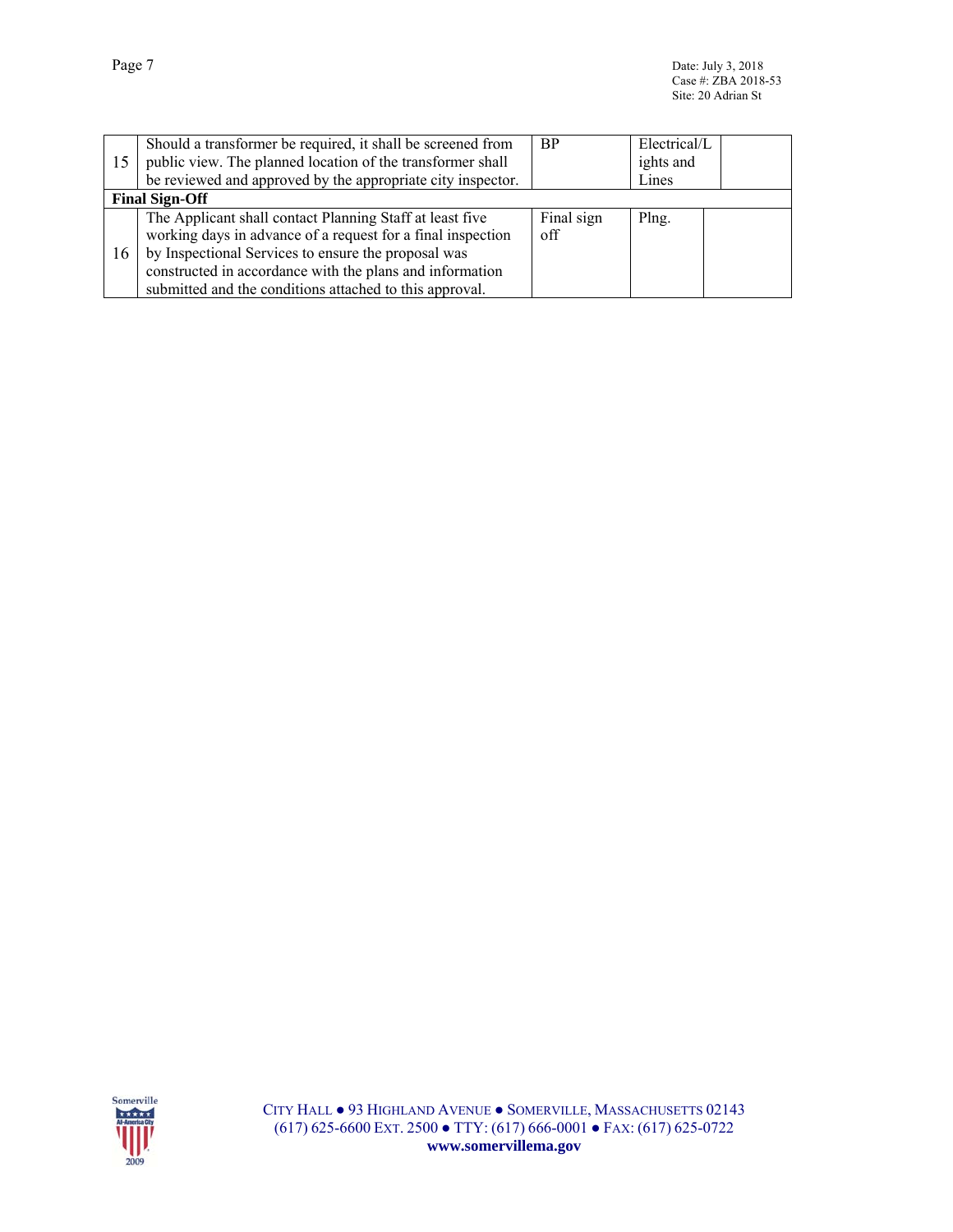| 15 | Should a transformer be required, it shall be screened from<br>public view. The planned location of the transformer shall<br>be reviewed and approved by the appropriate city inspector.                                                                                                              | <b>BP</b>         | Electrical/L<br>ights and<br>Lines |  |
|----|-------------------------------------------------------------------------------------------------------------------------------------------------------------------------------------------------------------------------------------------------------------------------------------------------------|-------------------|------------------------------------|--|
|    | <b>Final Sign-Off</b>                                                                                                                                                                                                                                                                                 |                   |                                    |  |
| 16 | The Applicant shall contact Planning Staff at least five<br>working days in advance of a request for a final inspection<br>by Inspectional Services to ensure the proposal was<br>constructed in accordance with the plans and information<br>submitted and the conditions attached to this approval. | Final sign<br>off | Plng.                              |  |